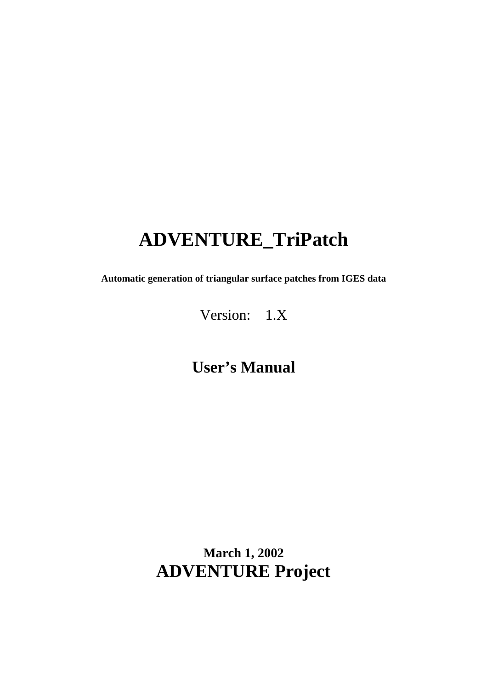# **ADVENTURE\_TriPatch**

**Automatic generation of triangular surface patches from IGES data** 

Version: 1.X

**User's Manual** 

**March 1, 2002 ADVENTURE Project**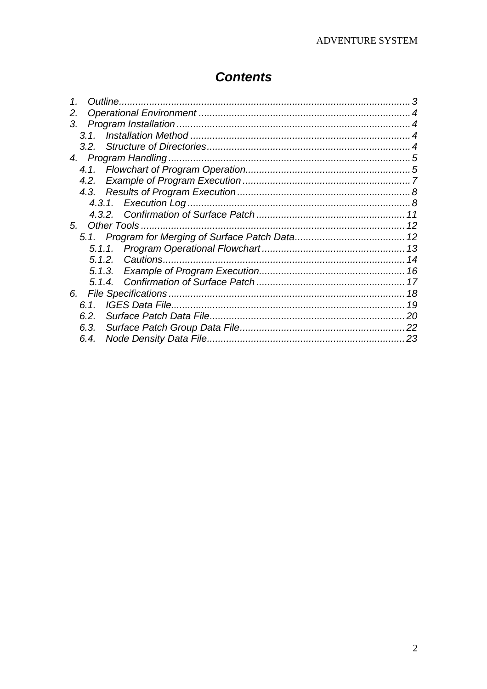# **Contents**

| 2.               |    |
|------------------|----|
| 3.               |    |
| 3.1.             |    |
| 3.2 <sub>1</sub> |    |
|                  |    |
|                  |    |
|                  |    |
|                  |    |
|                  |    |
|                  |    |
| 5.               |    |
|                  |    |
|                  |    |
| 5.1.2.           |    |
|                  |    |
|                  |    |
| 6.               | 18 |
| 61               | 19 |
| 6.2.             |    |
| 6.3.             | 22 |
| 6.4.             | 23 |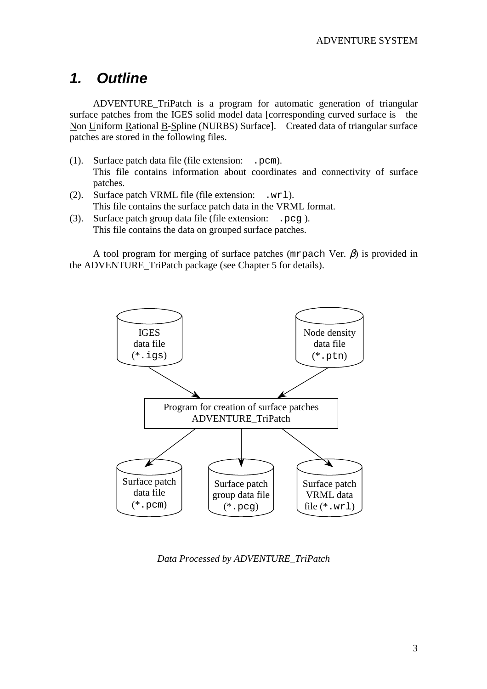# *1. Outline*

ADVENTURE\_TriPatch is a program for automatic generation of triangular surface patches from the IGES solid model data [corresponding curved surface is the Non Uniform Rational B-Spline (NURBS) Surface]. Created data of triangular surface patches are stored in the following files.

- (1). Surface patch data file (file extension: .pcm). This file contains information about coordinates and connectivity of surface patches.
- (2). Surface patch VRML file (file extension: .wrl). This file contains the surface patch data in the VRML format.
- (3). Surface patch group data file (file extension: .pcg ). This file contains the data on grouped surface patches.

A tool program for merging of surface patches (mrpach Ver.  $\beta$ ) is provided in the ADVENTURE\_TriPatch package (see Chapter 5 for details).



*Data Processed by ADVENTURE\_TriPatch*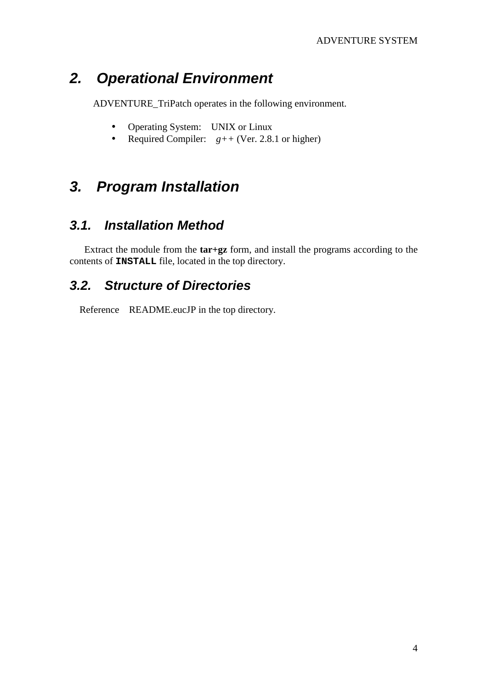# *2. Operational Environment*

ADVENTURE\_TriPatch operates in the following environment.

- Operating System:UNIX or Linux
- Required Compiler:  $g++$  (Ver. 2.8.1 or higher)

# *3. Program Installation*

### *3.1. Installation Method*

Extract the module from the **tar+gz** form, and install the programs according to the contents of **INSTALL** file, located in the top directory.

### *3.2. Structure of Directories*

Reference README.eucJP in the top directory.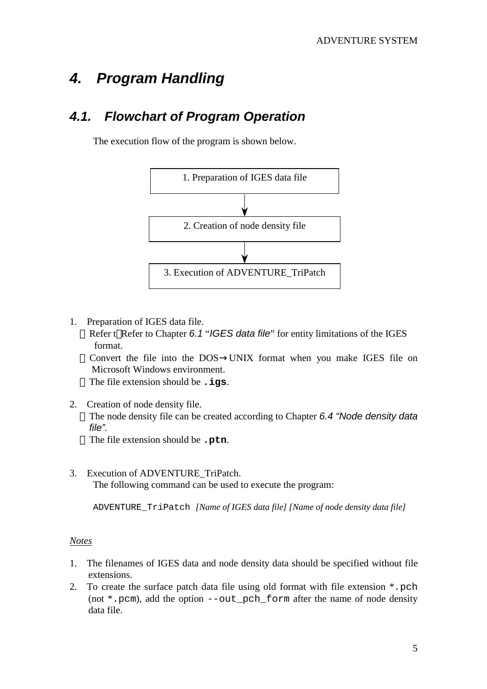# *4. Program Handling*

# *4.1. Flowchart of Program Operation*

The execution flow of the program is shown below.



1. Preparation of IGES data file.

Refer t Refer to Chapter *6.1* "*IGES data file*" for entity limitations of the IGES format.

Convert the file into the DOS UNIX format when you make IGES file on Microsoft Windows environment.

The file extension should be **.igs**.

2. Creation of node density file.

The node density file can be created according to Chapter *6.4 "Node density data file".*

The file extension should be **.ptn**.

3. Execution of ADVENTURE\_TriPatch. The following command can be used to execute the program:

ADVENTURE\_TriPatch *[Name of IGES data file] [Name of node density data file]* 

#### *Notes*

- 1. The filenames of IGES data and node density data should be specified without file extensions.
- 2. To create the surface patch data file using old format with file extension \*.pch (not  $*$ , pcm), add the option  $--$ out pch form after the name of node density data file.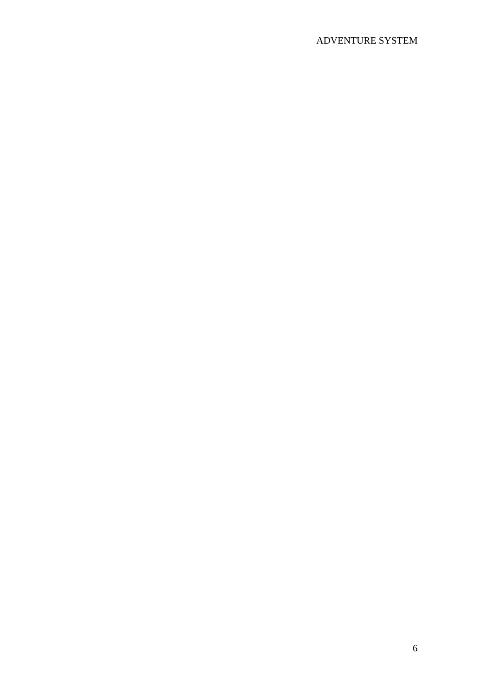#### ADVENTURE SYSTEM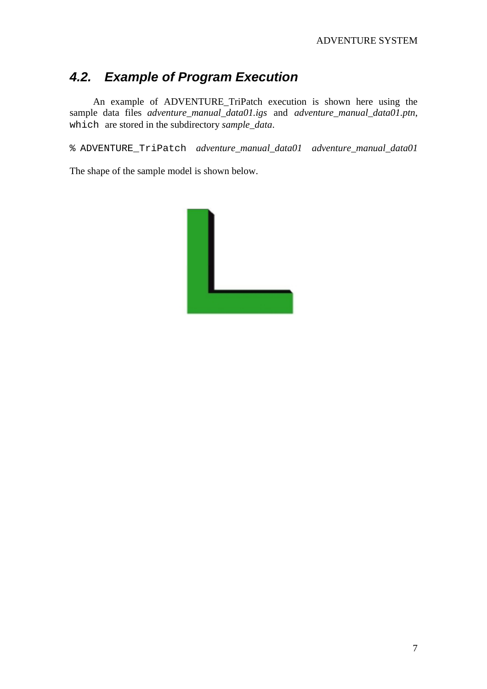## *4.2. Example of Program Execution*

An example of ADVENTURE\_TriPatch execution is shown here using the sample data files *adventure\_manual\_data01.igs* and *adventure\_manual\_data01.ptn*, which are stored in the subdirectory *sample\_data*.

% ADVENTURE\_TriPatch *adventure\_manual\_data01 adventure\_manual\_data01*

The shape of the sample model is shown below.

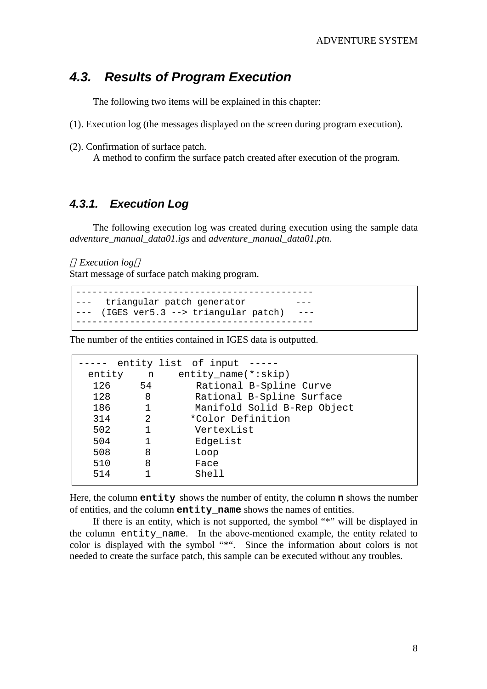### *4.3. Results of Program Execution*

The following two items will be explained in this chapter:

- (1). Execution log (the messages displayed on the screen during program execution).
- (2). Confirmation of surface patch.

A method to confirm the surface patch created after execution of the program.

#### *4.3.1. Execution Log*

The following execution log was created during execution using the sample data *adventure\_manual\_data01.igs* and *adventure\_manual\_data01.ptn*.

*Execution log*

Start message of surface patch making program.

```
--------------------------------------------
    triangular patch generator
--- (IGES ver5.3 --> triangular patch) ---
--------------------------------------------
```
The number of the entities contained in IGES data is outputted.

| $- - - -$ |    | entity list of input -----  |  |  |
|-----------|----|-----------------------------|--|--|
| entity    | n. | entity_name(*:skip)         |  |  |
| 126       | 54 | Rational B-Spline Curve     |  |  |
| 128       | 8  | Rational B-Spline Surface   |  |  |
| 186       |    | Manifold Solid B-Rep Object |  |  |
| 314       | 2  | *Color Definition           |  |  |
| 502       |    | VertexList                  |  |  |
| 504       |    | EdgeList                    |  |  |
| 508       | 8  | Loop                        |  |  |
| 510       | 8  | Face                        |  |  |
| 514       |    | Shell                       |  |  |
|           |    |                             |  |  |

Here, the column **entity** shows the number of entity, the column **n** shows the number of entities, and the column **entity** name shows the names of entities.

If there is an entity, which is not supported, the symbol "\*" will be displayed in the column entity\_name. In the above-mentioned example, the entity related to color is displayed with the symbol "\*". Since the information about colors is not needed to create the surface patch, this sample can be executed without any troubles.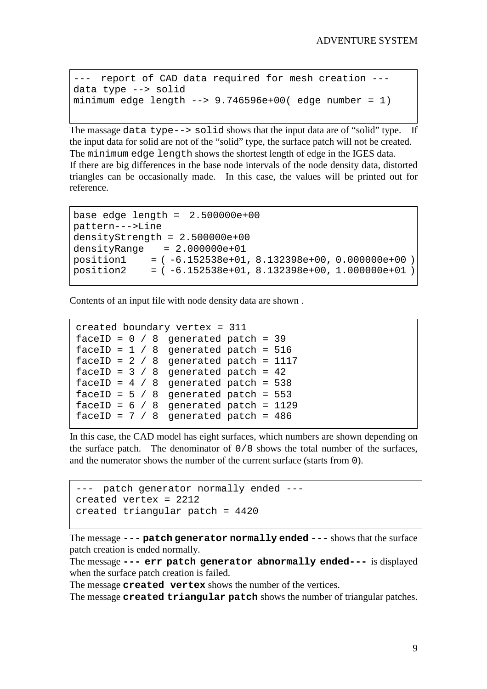```
--- report of CAD data required for mesh creation ---
data type --> solid
minimum edge length -- 9.746596e+00( edge number = 1)
```
The massage data type--> solid shows that the input data are of "solid" type. If the input data for solid are not of the "solid" type, the surface patch will not be created. The minimum edge length shows the shortest length of edge in the IGES data. If there are big differences in the base node intervals of the node density data, distorted triangles can be occasionally made. In this case, the values will be printed out for reference.

```
base edge length = 2.500000e+00pattern--->Line
densityStrength = 2.500000e+00
densityRange = 2.000000e+01position1 = ( -6.152538e+01, 8.132398e+00, 0.000000e+00 )
position2 = ( -6.152538e+01, 8.132398e+00, 1.000000e+01 )
```
Contents of an input file with node density data are shown .

| created boundary vertex = $311$ |  |                                        |  |  |  |
|---------------------------------|--|----------------------------------------|--|--|--|
| faceID = $0 / 8$                |  | generated patch = 39                   |  |  |  |
|                                 |  | faceID = $1 / 8$ generated patch = 516 |  |  |  |
| faceID = $2 / 8$                |  | generated patch = 1117                 |  |  |  |
| faceID = $3 / 8$                |  | generated patch = 42                   |  |  |  |
| faceID = $4 / 8$                |  | generated patch = 538                  |  |  |  |
| faceID = $5 / 8$                |  | generated patch = 553                  |  |  |  |
| faceID = $6 / 8$                |  | generated patch = 1129                 |  |  |  |
| faceID = $7 / 8$                |  | generated patch = 486                  |  |  |  |

In this case, the CAD model has eight surfaces, which numbers are shown depending on the surface patch. The denominator of  $0/8$  shows the total number of the surfaces, and the numerator shows the number of the current surface (starts from 0).

```
--- patch generator normally ended ---
created vertex = 2212
created triangular patch = 4420
```
The message **--- patch generator normally ended ---** shows that the surface patch creation is ended normally.

The message **--- err patch generator abnormally ended---** is displayed when the surface patch creation is failed.

The message **created vertex** shows the number of the vertices.

The message **created triangular patch** shows the number of triangular patches.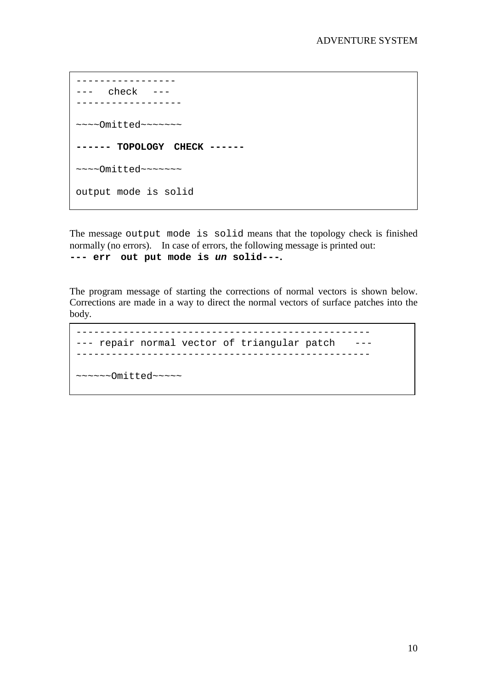```
-----------------
--- check ---
------------------
~~~~Omitted~~~~~~~
------ TOPOLOGY CHECK ------
~~~~Omitted~~~~~~~
output mode is solid
```
The message output mode is solid means that the topology check is finished normally (no errors). In case of errors, the following message is printed out: **--- err out put mode is un solid---.**

The program message of starting the corrections of normal vectors is shown below. Corrections are made in a way to direct the normal vectors of surface patches into the body.

-------------------------------------------------- --- repair normal vector of triangular patch --- -------------------------------------------------- ~~~~~~Omitted~~~~~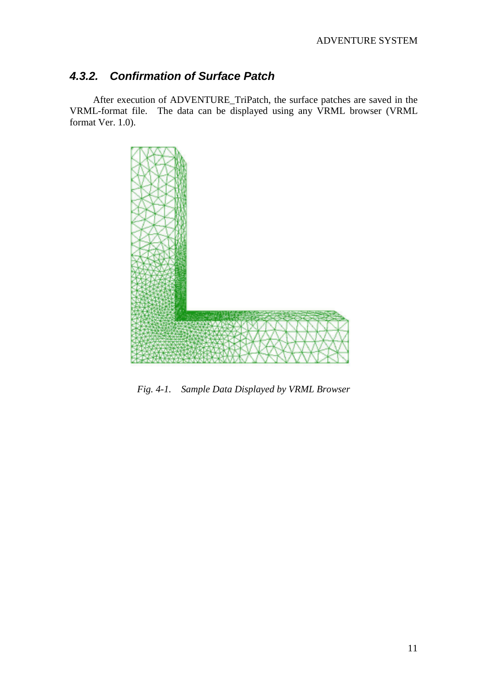### *4.3.2. Confirmation of Surface Patch*

After execution of ADVENTURE\_TriPatch, the surface patches are saved in the VRML-format file. The data can be displayed using any VRML browser (VRML format Ver. 1.0).



*Fig. 4-1. Sample Data Displayed by VRML Browser*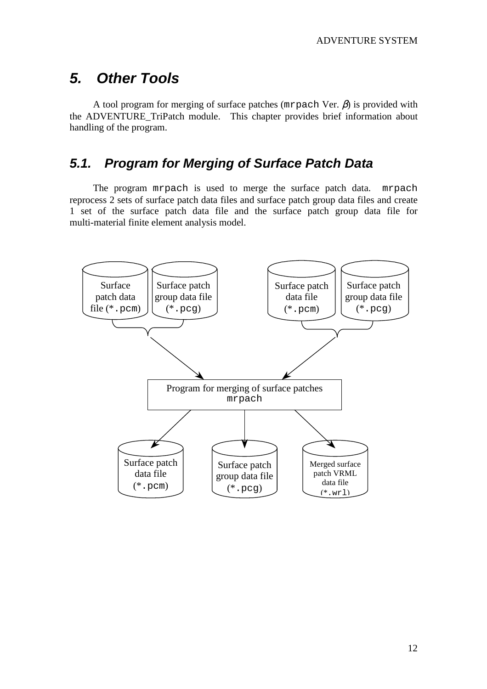# *5. Other Tools*

A tool program for merging of surface patches (mrpach Ver.  $\beta$ ) is provided with the ADVENTURE\_TriPatch module. This chapter provides brief information about handling of the program.

### *5.1. Program for Merging of Surface Patch Data*

The program mrpach is used to merge the surface patch data. mrpach reprocess 2 sets of surface patch data files and surface patch group data files and create 1 set of the surface patch data file and the surface patch group data file for multi-material finite element analysis model.

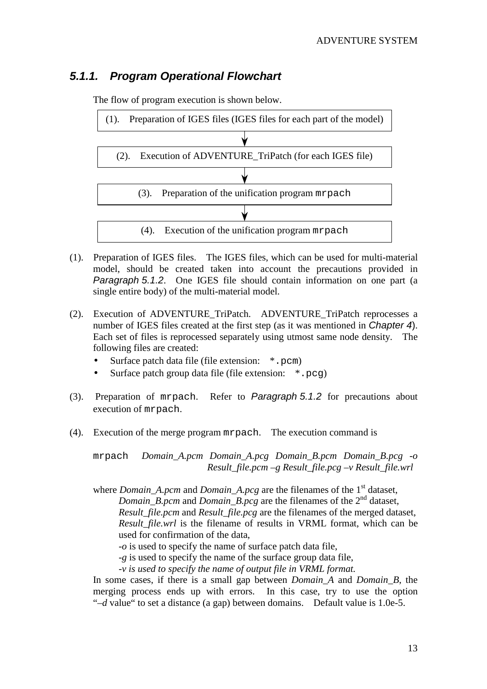### *5.1.1. Program Operational Flowchart*

The flow of program execution is shown below.



- (1). Preparation of IGES files. The IGES files, which can be used for multi-material model, should be created taken into account the precautions provided in *Paragraph 5.1.2*. One IGES file should contain information on one part (a single entire body) of the multi-material model.
- (2). Execution of ADVENTURE\_TriPatch. ADVENTURE\_TriPatch reprocesses a number of IGES files created at the first step (as it was mentioned in *Chapter 4*). Each set of files is reprocessed separately using utmost same node density. The following files are created:
	- Surface patch data file (file extension:  $* . \text{pcm}$ )
	- Surface patch group data file (file extension:  $*.\text{pcq}$ )
- (3). Preparation of mrpach. Refer to *Paragraph 5.1.2* for precautions about execution of mrpach.
- (4). Execution of the merge program mrpach. The execution command is

mrpach *Domain\_A.pcm Domain\_A.pcg Domain\_B.pcm Domain\_B.pcg -o Result\_file.pcm –g Result\_file.pcg –v Result\_file.wrl* 

where *Domain\_A.pcm* and *Domain\_A.pcg* are the filenames of the 1<sup>st</sup> dataset, *Domain\_B.pcm* and *Domain\_B.pcg* are the filenames of the 2<sup>nd</sup> dataset, *Result\_file.pcm* and *Result\_file.pcg* are the filenames of the merged dataset, *Result file.wrl* is the filename of results in VRML format, which can be used for confirmation of the data,

*-o* is used to specify the name of surface patch data file,

*-g* is used to specify the name of the surface group data file,

*-v is used to specify the name of output file in VRML format.*

In some cases, if there is a small gap between *Domain\_A* and *Domain\_B*, the merging process ends up with errors. In this case, try to use the option "*–d* value" to set a distance (a gap) between domains. Default value is 1.0e-5.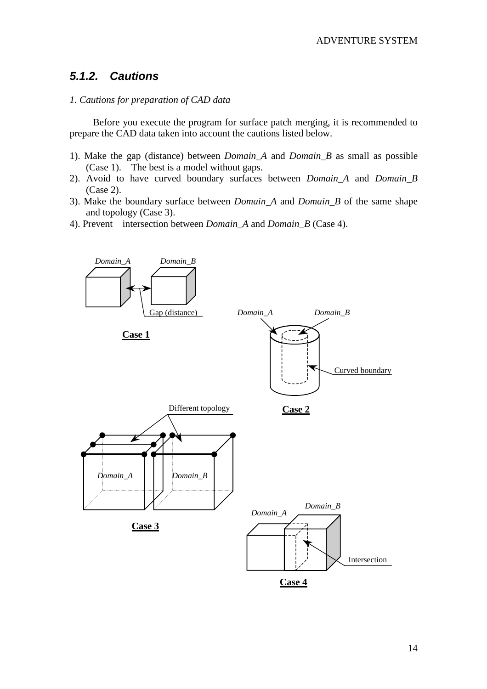#### *5.1.2. Cautions*

#### *1. Cautions for preparation of CAD data*

Before you execute the program for surface patch merging, it is recommended to prepare the CAD data taken into account the cautions listed below.

- 1). Make the gap (distance) between *Domain\_A* and *Domain\_B* as small as possible (Case 1). The best is a model without gaps.
- 2). Avoid to have curved boundary surfaces between *Domain\_A* and *Domain\_B* (Case 2).
- 3). Make the boundary surface between *Domain\_A* and *Domain\_B* of the same shape and topology (Case 3).
- 4). Prevent intersection between *Domain\_A* and *Domain\_B* (Case 4).

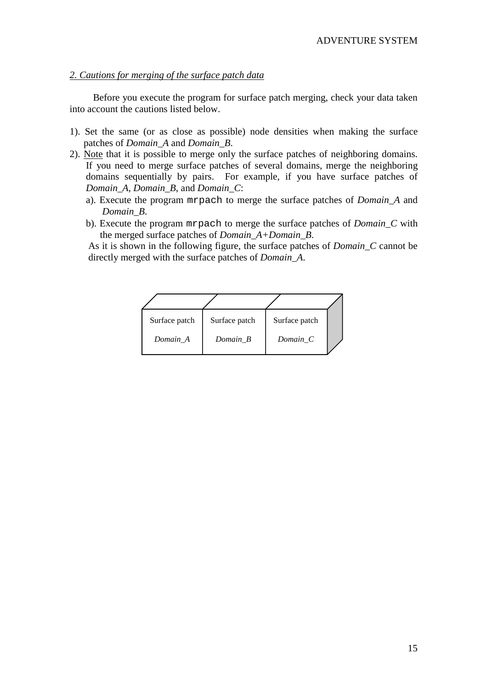#### *2. Cautions for merging of the surface patch data*

Before you execute the program for surface patch merging, check your data taken into account the cautions listed below.

- 1). Set the same (or as close as possible) node densities when making the surface patches of *Domain\_A* and *Domain\_B*.
- 2). Note that it is possible to merge only the surface patches of neighboring domains. If you need to merge surface patches of several domains, merge the neighboring domains sequentially by pairs. For example, if you have surface patches of *Domain\_A*, *Domain\_B*, and *Domain\_C*:
	- a). Execute the program mrpach to merge the surface patches of *Domain\_A* and *Domain\_B*.
	- b). Execute the program mrpach to merge the surface patches of *Domain\_C* with the merged surface patches of *Domain\_A+Domain\_B*.

As it is shown in the following figure, the surface patches of *Domain\_C* cannot be directly merged with the surface patches of *Domain\_A*.

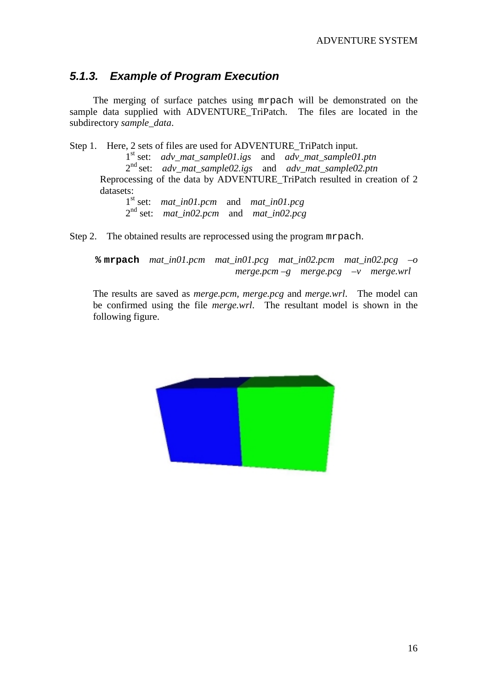### *5.1.3. Example of Program Execution*

The merging of surface patches using mrpach will be demonstrated on the sample data supplied with ADVENTURE TriPatch. The files are located in the subdirectory *sample\_data*.

Step 1. Here, 2 sets of files are used for ADVENTURE\_TriPatch input.

1st set: *adv\_mat\_sample01.igs* and *adv\_mat\_sample01.ptn* 

2nd set: *adv\_mat\_sample02.igs* and *adv\_mat\_sample02.ptn* 

Reprocessing of the data by ADVENTURE\_TriPatch resulted in creation of 2 datasets:

1st set: *mat\_in01.pcm* and *mat\_in01.pcg*  2nd set: *mat\_in02.pcm* and *mat\_in02.pcg*

Step 2. The obtained results are reprocessed using the program mrpach.

**% mrpach** mat in01.pcm mat in01.pcg mat in02.pcm mat in02.pcg  $-\sigma$ *merge.pcm –g merge.pcg –v merge.wrl*

The results are saved as *merge.pcm, merge.pcg* and *merge.wrl*. The model can be confirmed using the file *merge.wrl*. The resultant model is shown in the following figure.

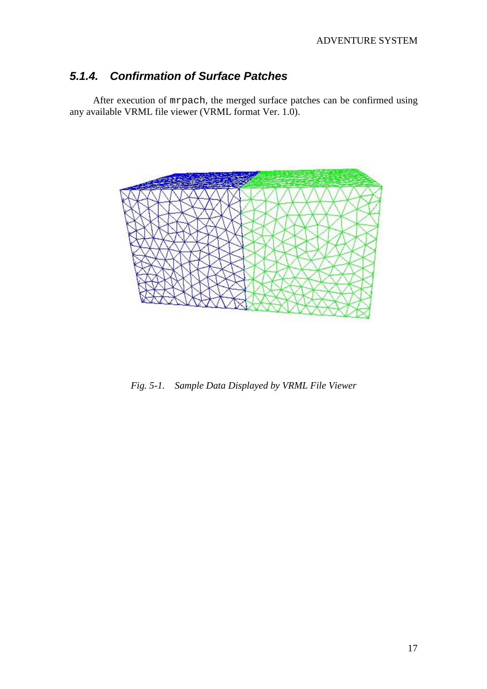### *5.1.4. Confirmation of Surface Patches*

After execution of mrpach, the merged surface patches can be confirmed using any available VRML file viewer (VRML format Ver. 1.0).



*Fig. 5-1. Sample Data Displayed by VRML File Viewer*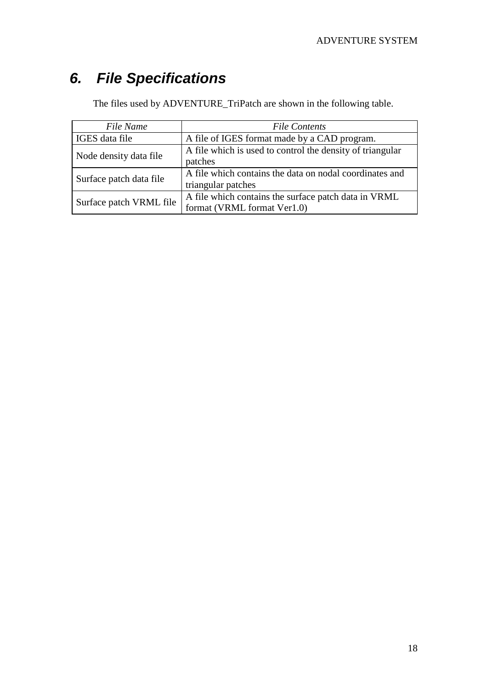# *6. File Specifications*

The files used by ADVENTURE\_TriPatch are shown in the following table.

| File Name               | <b>File Contents</b>                                                                |  |
|-------------------------|-------------------------------------------------------------------------------------|--|
| IGES data file          | A file of IGES format made by a CAD program.                                        |  |
| Node density data file  | A file which is used to control the density of triangular<br>patches                |  |
| Surface patch data file | A file which contains the data on nodal coordinates and<br>triangular patches       |  |
| Surface patch VRML file | A file which contains the surface patch data in VRML<br>format (VRML format Ver1.0) |  |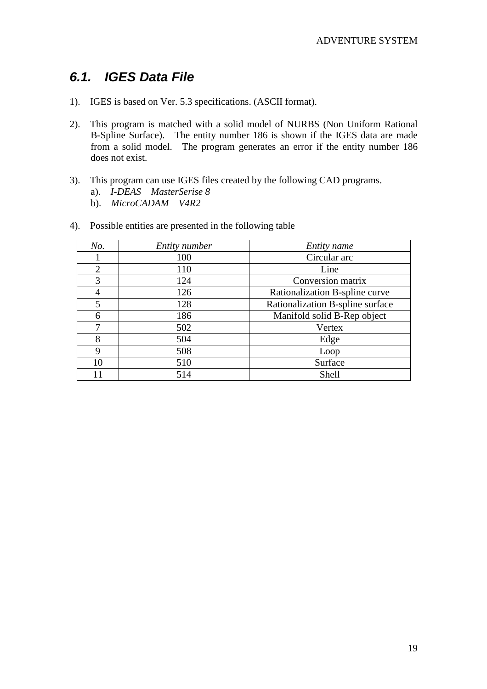# *6.1. IGES Data File*

- 1). IGES is based on Ver. 5.3 specifications. (ASCII format).
- 2). This program is matched with a solid model of NURBS (Non Uniform Rational B-Spline Surface). The entity number 186 is shown if the IGES data are made from a solid model. The program generates an error if the entity number 186 does not exist.
- 3). This program can use IGES files created by the following CAD programs. a). *I-DEAS MasterSerise 8*  b). *MicroCADAM V4R2*

| No.                   | Entity number | Entity name                      |
|-----------------------|---------------|----------------------------------|
|                       | 100           | Circular arc                     |
| $\mathcal{D}_{\cdot}$ | 110           | Line                             |
| 3                     | 124           | Conversion matrix                |
| 4                     | 126           | Rationalization B-spline curve   |
| 5                     | 128           | Rationalization B-spline surface |
| 6                     | 186           | Manifold solid B-Rep object      |
| 7                     | 502           | Vertex                           |
| 8                     | 504           | Edge                             |
| 9                     | 508           | Loop                             |
| 10                    | 510           | Surface                          |
|                       | 514           | Shell                            |

4). Possible entities are presented in the following table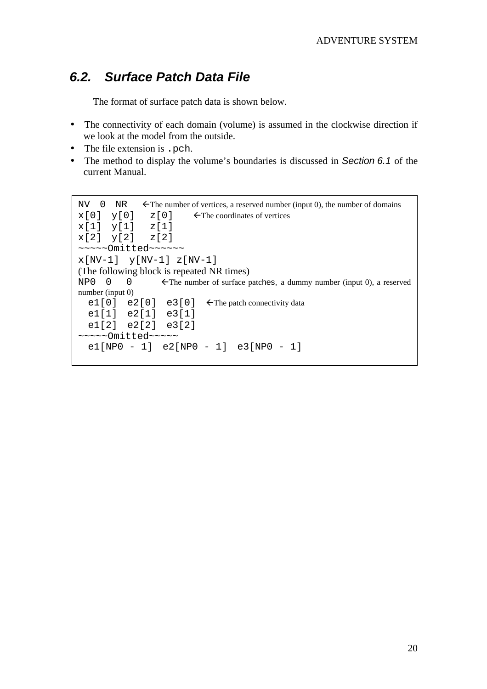## *6.2. Surface Patch Data File*

The format of surface patch data is shown below.

- The connectivity of each domain (volume) is assumed in the clockwise direction if we look at the model from the outside.
- The file extension is . pch.
- The method to display the volume's boundaries is discussed in *Section 6.1* of the current Manual.

```
NV 0 NR \leftarrow The number of vertices, a reserved number (input 0), the number of domains
x[0] y[0] z[0] \leftarrow The coordinates of vertices
x[1] y[1] z[1]x[2] y[2] z[2]
~~~~~Omitted~~~~~~
x[NV-1] y[NV-1] z[NV-1](The following block is repeated NR times)
NP0 0 0 \leftarrow The number of surface patches, a dummy number (input 0), a reserved
number (input 0)
  e1[0] e2[0] e3[0] \leftarrowThe patch connectivity data
  e1[1] e2[1] e3[1]
  e1[2] e2[2] e3[2]
~~~~~Omitted~~~~~
  e1[NP0 - 1] e2[NP0 - 1] e3[NP0 - 1]
```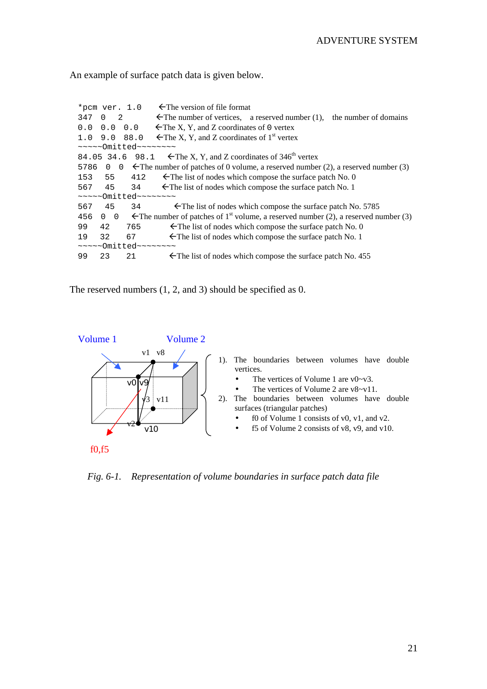An example of surface patch data is given below.

|                     | *pcm $ver. 1.0$ |                       | $\leftarrow$ The version of file format                                                                            |  |  |  |
|---------------------|-----------------|-----------------------|--------------------------------------------------------------------------------------------------------------------|--|--|--|
|                     | 347 0 2         |                       | $\epsilon$ The number of vertices, a reserved number (1), the number of domains                                    |  |  |  |
| $0.0 \t 0.0 \t 0.0$ |                 |                       | $\leftarrow$ The X, Y, and Z coordinates of 0 vertex                                                               |  |  |  |
|                     |                 |                       | 1.0 9.0 88.0 $\leftarrow$ The X, Y, and Z coordinates of 1 <sup>st</sup> vertex                                    |  |  |  |
|                     |                 | ~~~~~Omitted~~~~~~~~  |                                                                                                                    |  |  |  |
|                     |                 |                       | 84.05 34.6 98.1 $\leftarrow$ The X, Y, and Z coordinates of 346 <sup>th</sup> vertex                               |  |  |  |
|                     |                 |                       | 5786 0 0 $\leftarrow$ The number of patches of 0 volume, a reserved number (2), a reserved number (3)              |  |  |  |
|                     |                 |                       | 153 55 412 <the 0<="" compose="" list="" no.="" nodes="" of="" patch="" surface="" td="" the="" which=""></the>    |  |  |  |
|                     |                 |                       | 567 45 34 <the 1<="" compose="" list="" no.="" nodes="" of="" patch="" surface="" td="" the="" which=""></the>     |  |  |  |
|                     |                 | ~~~~~ Omitted~~~~~~~~ |                                                                                                                    |  |  |  |
|                     |                 | 567 45 34             | $\leftarrow$ The list of nodes which compose the surface patch No. 5785                                            |  |  |  |
|                     |                 |                       | 456 0 0 $\leftarrow$ The number of patches of 1 <sup>st</sup> volume, a reserved number (2), a reserved number (3) |  |  |  |
| 99                  | 42              | 765 —                 | $\leftarrow$ The list of nodes which compose the surface patch No. 0                                               |  |  |  |
| 19                  | 32              | 67 —                  | $\leftarrow$ The list of nodes which compose the surface patch No. 1                                               |  |  |  |
|                     |                 | ~~~~~ Omitted~~~~~~~~ |                                                                                                                    |  |  |  |
| 99                  | 23              | 21                    | $\epsilon$ The list of nodes which compose the surface patch No. 455                                               |  |  |  |

The reserved numbers (1, 2, and 3) should be specified as 0.



*Fig. 6-1. Representation of volume boundaries in surface patch data file*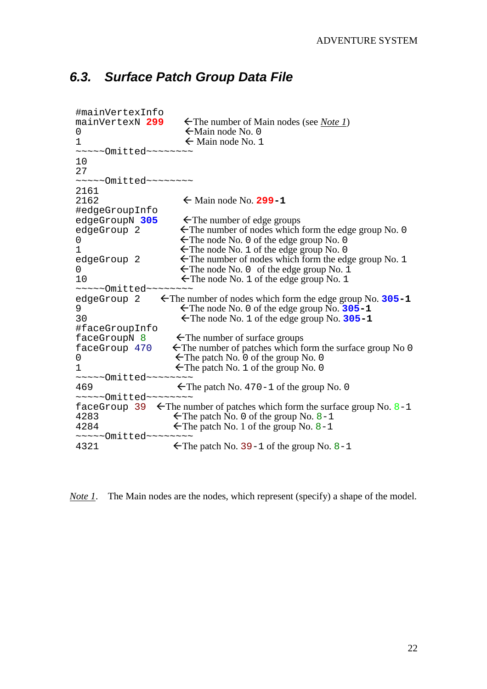### *6.3. Surface Patch Group Data File*

#mainVertexInfo mainVertexN 299  $\leftarrow$  The number of Main nodes (see *Note 1*) 0  $\leftarrow$  Main node No. 0 1 Main node No. 1 ~~~~~Omitted~~~~~~~~ 10 27 ~~~~~Omitted~~~~~~~~ 2161<br>2162  $\leftarrow$  Main node No. **299-1** #edgeGroupInfo<br>edgeGroupN 305  $\leftarrow$ **The number of edge groups**  $\epsilon$  edgeGroup 2  $\epsilon$ The number of nodes which form the edge group No. 0 0  $\leftarrow$  The node No. 0 of the edge group No. 0 1  $\leftarrow$  The node No. 1 of the edge group No. 0 edgeGroup 2  $\leftarrow$  The number of nodes which form the edge group No. 1 0  $\leftarrow$  The node No. 0 of the edge group No. 1 10  $\leftarrow$  The node No. 1 of the edge group No. 1 ~~~~~Omitted~~~~~~~~ edgeGroup 2  $\leftarrow$  The number of nodes which form the edge group No. **305-1**<br>9<br>9<br>9<br>9<br>9<br>5-1 9 The node No. 0 of the edge group No. **305-1** 30 The node No. 1 of the edge group No. **305-1** #faceGroupInfo faceGroupN 8  $\leftarrow$ The number of surface groups<br>faceGroup 470  $\leftarrow$ The number of patches which for  $F$  The number of patches which form the surface group No 0 0  $\leftarrow$  The patch No. 0 of the group No. 0 1  $\leftarrow$  The patch No. 1 of the group No. 0 ~~~~~Omitted~~~~~~~~ 469  $\leftarrow$  The patch No. 470–1 of the group No. 0 ~~~~~Omitted~~~~~~~~ faceGroup 39  $\epsilon$ The number of patches which form the surface group No. 8-1 4283  $\leftarrow$  The patch No. 0 of the group No. 8-1<br>4284  $\leftarrow$  The patch No. 1 of the group No. 8-1  $\leftarrow$  The patch No. 1 of the group No. 8-1 ~~~~~Omitted~~~~~~~<br>4321 ←  $\leftarrow$  The patch No. 39-1 of the group No. 8-1

*Note 1.* The Main nodes are the nodes, which represent (specify) a shape of the model.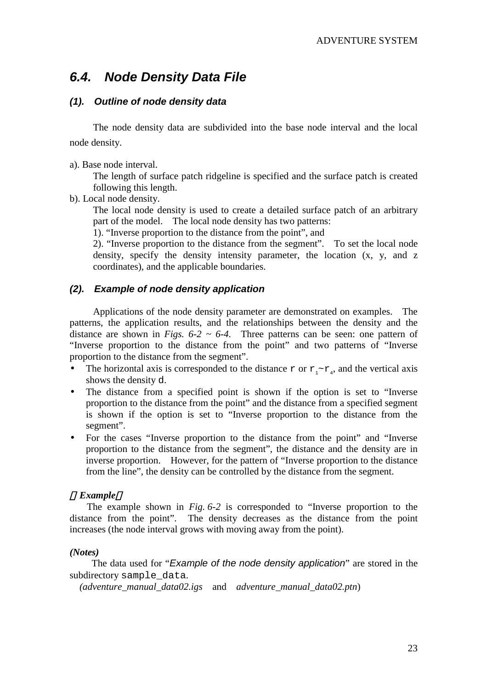## *6.4. Node Density Data File*

#### *(1). Outline of node density data*

The node density data are subdivided into the base node interval and the local node density.

a). Base node interval.

The length of surface patch ridgeline is specified and the surface patch is created following this length.

b). Local node density.

The local node density is used to create a detailed surface patch of an arbitrary part of the model. The local node density has two patterns:

1). "Inverse proportion to the distance from the point", and

2). "Inverse proportion to the distance from the segment". To set the local node density, specify the density intensity parameter, the location (x, y, and z coordinates), and the applicable boundaries.

#### *(2). Example of node density application*

Applications of the node density parameter are demonstrated on examples. The patterns, the application results, and the relationships between the density and the distance are shown in *Figs.*  $6-2 \sim 6-4$ . Three patterns can be seen: one pattern of "Inverse proportion to the distance from the point" and two patterns of "Inverse proportion to the distance from the segment".

- The horizontal axis is corresponded to the distance r or  $r_1 \sim r_4$ , and the vertical axis shows the density d.
- The distance from a specified point is shown if the option is set to "Inverse" proportion to the distance from the point" and the distance from a specified segment is shown if the option is set to "Inverse proportion to the distance from the segment".
- For the cases "Inverse proportion to the distance from the point" and "Inverse" proportion to the distance from the segment", the distance and the density are in inverse proportion. However, for the pattern of "Inverse proportion to the distance from the line", the density can be controlled by the distance from the segment.

#### *Example*

The example shown in *Fig. 6-2* is corresponded to "Inverse proportion to the distance from the point". The density decreases as the distance from the point increases (the node interval grows with moving away from the point).

#### *(Notes)*

The data used for "*Example of the node density application*" are stored in the subdirectory sample\_data.

*(adventure\_manual\_data02.igs* and *adventure\_manual\_data02.ptn*)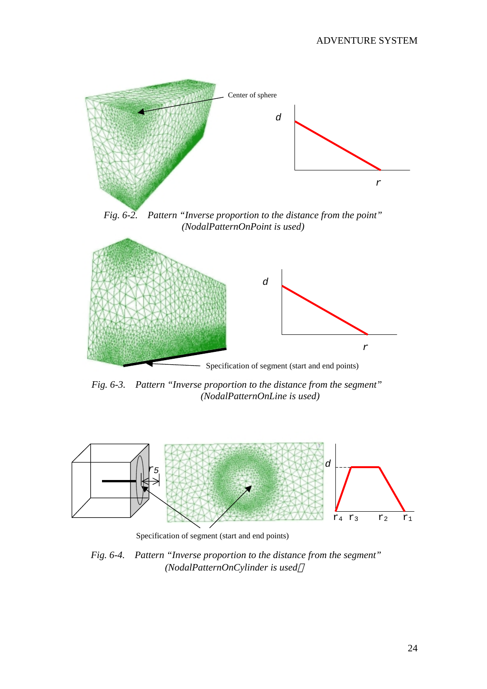

*Fig. 6-3. Pattern "Inverse proportion to the distance from the segment" (NodalPatternOnLine is used)* 



Specification of segment (start and end points)

*Fig. 6-4. Pattern "Inverse proportion to the distance from the segment" (NodalPatternOnCylinder is used*